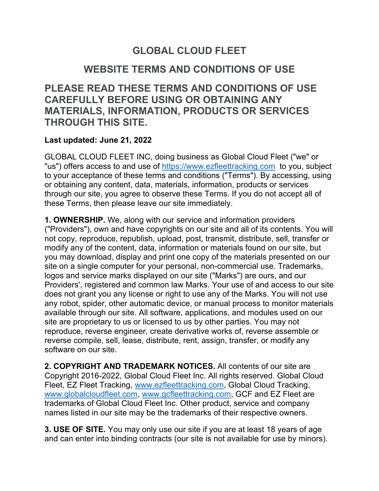## **GLOBAL CLOUD FLEET**

## **WEBSITE TERMS AND CONDITIONS OF USE**

**PLEASE READ THESE TERMS AND CONDITIONS OF USE CAREFULLY BEFORE USING OR OBTAINING ANY MATERIALS, INFORMATION, PRODUCTS OR SERVICES THROUGH THIS SITE.**

## **Last updated: June 21, 2022**

GLOBAL CLOUD FLEET INC, doing business as Global Cloud Fleet ("we" or "us") offers access to and use of https://www.ezfleettracking.com to you, subject to your acceptance of these terms and conditions ("Terms"). By accessing, using or obtaining any content, data, materials, information, products or services through our site, you agree to observe these Terms. If you do not accept all of these Terms, then please leave our site immediately.

**1. OWNERSHIP.** We, along with our service and information providers ("Providers"), own and have copyrights on our site and all of its contents. You will not copy, reproduce, republish, upload, post, transmit, distribute, sell, transfer or modify any of the content, data, information or materials found on our site, but you may download, display and print one copy of the materials presented on our site on a single computer for your personal, non-commercial use. Trademarks, logos and service marks displayed on our site ("Marks") are ours, and our Providers', registered and common law Marks. Your use of and access to our site does not grant you any license or right to use any of the Marks. You will not use any robot, spider, other automatic device, or manual process to monitor materials available through our site. All software, applications, and modules used on our site are proprietary to us or licensed to us by other parties. You may not reproduce, reverse engineer, create derivative works of, reverse assemble or reverse compile, sell, lease, distribute, rent, assign, transfer, or modify any software on our site.

**2. COPYRIGHT AND TRADEMARK NOTICES.** All contents of our site are Copyright 2016-2022, Global Cloud Fleet Inc. All rights reserved. Global Cloud Fleet, EZ Fleet Tracking, www.ezfleettracking.com, Global Cloud Tracking, www.globalcloudfleet.com, www.gcfleettracking.com, GCF and EZ Fleet are trademarks of Global Cloud Fleet Inc. Other product, service and company names listed in our site may be the trademarks of their respective owners.

**3. USE OF SITE.** You may only use our site if you are at least 18 years of age and can enter into binding contracts (our site is not available for use by minors).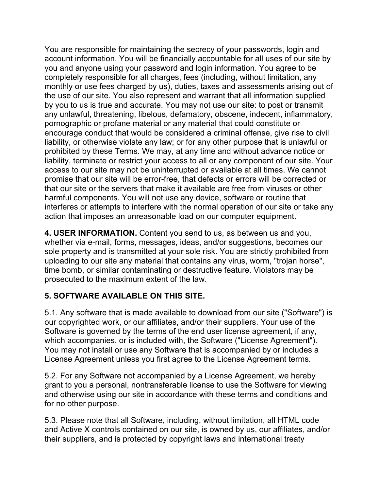You are responsible for maintaining the secrecy of your passwords, login and account information. You will be financially accountable for all uses of our site by you and anyone using your password and login information. You agree to be completely responsible for all charges, fees (including, without limitation, any monthly or use fees charged by us), duties, taxes and assessments arising out of the use of our site. You also represent and warrant that all information supplied by you to us is true and accurate. You may not use our site: to post or transmit any unlawful, threatening, libelous, defamatory, obscene, indecent, inflammatory, pornographic or profane material or any material that could constitute or encourage conduct that would be considered a criminal offense, give rise to civil liability, or otherwise violate any law; or for any other purpose that is unlawful or prohibited by these Terms. We may, at any time and without advance notice or liability, terminate or restrict your access to all or any component of our site. Your access to our site may not be uninterrupted or available at all times. We cannot promise that our site will be error-free, that defects or errors will be corrected or that our site or the servers that make it available are free from viruses or other harmful components. You will not use any device, software or routine that interferes or attempts to interfere with the normal operation of our site or take any action that imposes an unreasonable load on our computer equipment.

**4. USER INFORMATION.** Content you send to us, as between us and you, whether via e-mail, forms, messages, ideas, and/or suggestions, becomes our sole property and is transmitted at your sole risk. You are strictly prohibited from uploading to our site any material that contains any virus, worm, "trojan horse", time bomb, or similar contaminating or destructive feature. Violators may be prosecuted to the maximum extent of the law.

## **5. SOFTWARE AVAILABLE ON THIS SITE.**

5.1. Any software that is made available to download from our site ("Software") is our copyrighted work, or our affiliates, and/or their suppliers. Your use of the Software is governed by the terms of the end user license agreement, if any, which accompanies, or is included with, the Software ("License Agreement"). You may not install or use any Software that is accompanied by or includes a License Agreement unless you first agree to the License Agreement terms.

5.2. For any Software not accompanied by a License Agreement, we hereby grant to you a personal, nontransferable license to use the Software for viewing and otherwise using our site in accordance with these terms and conditions and for no other purpose.

5.3. Please note that all Software, including, without limitation, all HTML code and Active X controls contained on our site, is owned by us, our affiliates, and/or their suppliers, and is protected by copyright laws and international treaty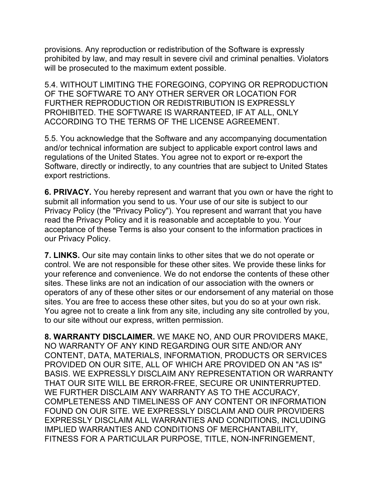provisions. Any reproduction or redistribution of the Software is expressly prohibited by law, and may result in severe civil and criminal penalties. Violators will be prosecuted to the maximum extent possible.

5.4. WITHOUT LIMITING THE FOREGOING, COPYING OR REPRODUCTION OF THE SOFTWARE TO ANY OTHER SERVER OR LOCATION FOR FURTHER REPRODUCTION OR REDISTRIBUTION IS EXPRESSLY PROHIBITED. THE SOFTWARE IS WARRANTEED, IF AT ALL, ONLY ACCORDING TO THE TERMS OF THE LICENSE AGREEMENT.

5.5. You acknowledge that the Software and any accompanying documentation and/or technical information are subject to applicable export control laws and regulations of the United States. You agree not to export or re-export the Software, directly or indirectly, to any countries that are subject to United States export restrictions.

**6. PRIVACY.** You hereby represent and warrant that you own or have the right to submit all information you send to us. Your use of our site is subject to our Privacy Policy (the "Privacy Policy"). You represent and warrant that you have read the Privacy Policy and it is reasonable and acceptable to you. Your acceptance of these Terms is also your consent to the information practices in our Privacy Policy.

**7. LINKS.** Our site may contain links to other sites that we do not operate or control. We are not responsible for these other sites. We provide these links for your reference and convenience. We do not endorse the contents of these other sites. These links are not an indication of our association with the owners or operators of any of these other sites or our endorsement of any material on those sites. You are free to access these other sites, but you do so at your own risk. You agree not to create a link from any site, including any site controlled by you, to our site without our express, written permission.

**8. WARRANTY DISCLAIMER.** WE MAKE NO, AND OUR PROVIDERS MAKE, NO WARRANTY OF ANY KIND REGARDING OUR SITE AND/OR ANY CONTENT, DATA, MATERIALS, INFORMATION, PRODUCTS OR SERVICES PROVIDED ON OUR SITE, ALL OF WHICH ARE PROVIDED ON AN "AS IS" BASIS. WE EXPRESSLY DISCLAIM ANY REPRESENTATION OR WARRANTY THAT OUR SITE WILL BE ERROR-FREE, SECURE OR UNINTERRUPTED. WE FURTHER DISCLAIM ANY WARRANTY AS TO THE ACCURACY, COMPLETENESS AND TIMELINESS OF ANY CONTENT OR INFORMATION FOUND ON OUR SITE. WE EXPRESSLY DISCLAIM AND OUR PROVIDERS EXPRESSLY DISCLAIM ALL WARRANTIES AND CONDITIONS, INCLUDING IMPLIED WARRANTIES AND CONDITIONS OF MERCHANTABILITY, FITNESS FOR A PARTICULAR PURPOSE, TITLE, NON-INFRINGEMENT,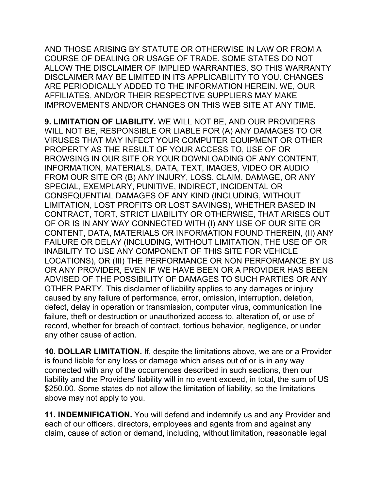AND THOSE ARISING BY STATUTE OR OTHERWISE IN LAW OR FROM A COURSE OF DEALING OR USAGE OF TRADE. SOME STATES DO NOT ALLOW THE DISCLAIMER OF IMPLIED WARRANTIES, SO THIS WARRANTY DISCLAIMER MAY BE LIMITED IN ITS APPLICABILITY TO YOU. CHANGES ARE PERIODICALLY ADDED TO THE INFORMATION HEREIN. WE, OUR AFFILIATES, AND/OR THEIR RESPECTIVE SUPPLIERS MAY MAKE IMPROVEMENTS AND/OR CHANGES ON THIS WEB SITE AT ANY TIME.

**9. LIMITATION OF LIABILITY.** WE WILL NOT BE, AND OUR PROVIDERS WILL NOT BE, RESPONSIBLE OR LIABLE FOR (A) ANY DAMAGES TO OR VIRUSES THAT MAY INFECT YOUR COMPUTER EQUIPMENT OR OTHER PROPERTY AS THE RESULT OF YOUR ACCESS TO, USE OF OR BROWSING IN OUR SITE OR YOUR DOWNLOADING OF ANY CONTENT, INFORMATION, MATERIALS, DATA, TEXT, IMAGES, VIDEO OR AUDIO FROM OUR SITE OR (B) ANY INJURY, LOSS, CLAIM, DAMAGE, OR ANY SPECIAL, EXEMPLARY, PUNITIVE, INDIRECT, INCIDENTAL OR CONSEQUENTIAL DAMAGES OF ANY KIND (INCLUDING, WITHOUT LIMITATION, LOST PROFITS OR LOST SAVINGS), WHETHER BASED IN CONTRACT, TORT, STRICT LIABILITY OR OTHERWISE, THAT ARISES OUT OF OR IS IN ANY WAY CONNECTED WITH (I) ANY USE OF OUR SITE OR CONTENT, DATA, MATERIALS OR INFORMATION FOUND THEREIN, (II) ANY FAILURE OR DELAY (INCLUDING, WITHOUT LIMITATION, THE USE OF OR INABILITY TO USE ANY COMPONENT OF THIS SITE FOR VEHICLE LOCATIONS), OR (III) THE PERFORMANCE OR NON PERFORMANCE BY US OR ANY PROVIDER, EVEN IF WE HAVE BEEN OR A PROVIDER HAS BEEN ADVISED OF THE POSSIBILITY OF DAMAGES TO SUCH PARTIES OR ANY OTHER PARTY. This disclaimer of liability applies to any damages or injury caused by any failure of performance, error, omission, interruption, deletion, defect, delay in operation or transmission, computer virus, communication line failure, theft or destruction or unauthorized access to, alteration of, or use of record, whether for breach of contract, tortious behavior, negligence, or under any other cause of action.

**10. DOLLAR LIMITATION.** If, despite the limitations above, we are or a Provider is found liable for any loss or damage which arises out of or is in any way connected with any of the occurrences described in such sections, then our liability and the Providers' liability will in no event exceed, in total, the sum of US \$250.00. Some states do not allow the limitation of liability, so the limitations above may not apply to you.

**11. INDEMNIFICATION.** You will defend and indemnify us and any Provider and each of our officers, directors, employees and agents from and against any claim, cause of action or demand, including, without limitation, reasonable legal